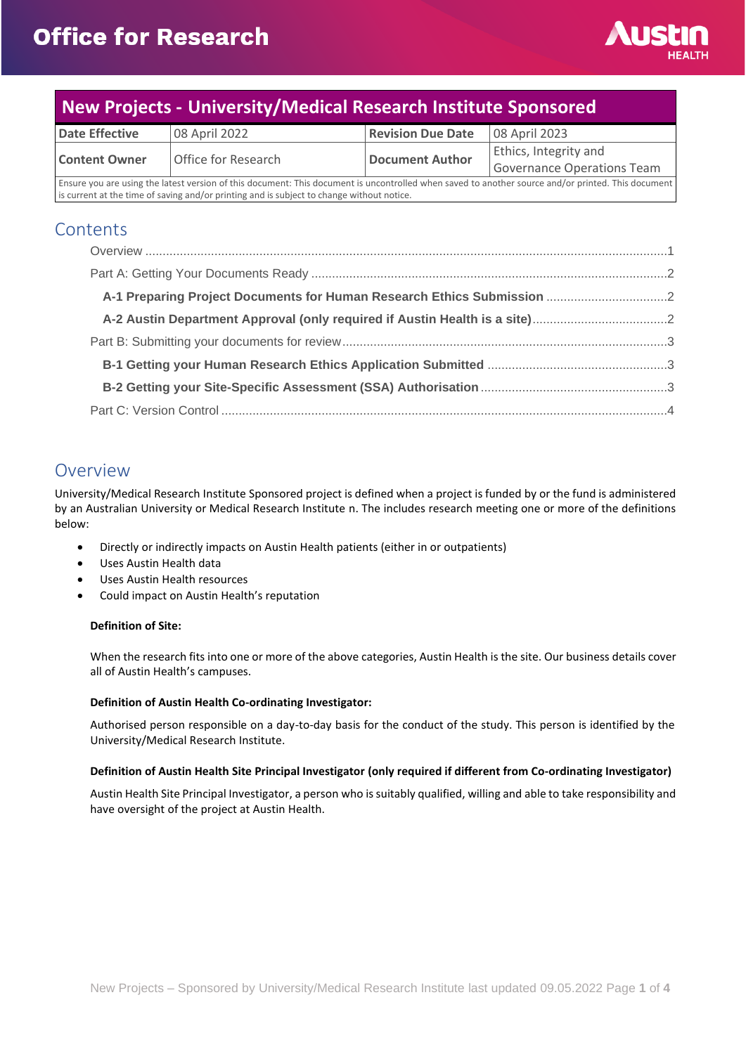

# **New Projects - University/Medical Research Institute Sponsored**

| <b>Date Effective</b>                                                                                                                              | 08 April 2022       | <b>Revision Due Date</b> | 08 April 2023                |
|----------------------------------------------------------------------------------------------------------------------------------------------------|---------------------|--------------------------|------------------------------|
| <b>Content Owner</b>                                                                                                                               | Office for Research | Document Author          | <b>Ethics, Integrity and</b> |
|                                                                                                                                                    |                     |                          | Governance Operations Team   |
| Ensure you are using the latest version of this document: This document is uncontrolled when saved to another source and/or printed. This document |                     |                          |                              |

is current at the time of saving and/or printing and is subject to change without notice.

## **Contents**

## <span id="page-0-0"></span>Overview

University/Medical Research Institute Sponsored project is defined when a project is funded by or the fund is administered by an Australian University or Medical Research Institute n. The includes research meeting one or more of the definitions below:

- Directly or indirectly impacts on Austin Health patients (either in or outpatients)
- Uses Austin Health data
- Uses Austin Health resources
- Could impact on Austin Health's reputation

### **Definition of Site:**

When the research fits into one or more of the above categories, Austin Health is the site. Our business details cover all of Austin Health's campuses.

#### **Definition of Austin Health Co-ordinating Investigator:**

Authorised person responsible on a day-to-day basis for the conduct of the study. This person is identified by the University/Medical Research Institute.

#### **Definition of Austin Health Site Principal Investigator (only required if different from Co-ordinating Investigator)**

Austin Health Site Principal Investigator, a person who is suitably qualified, willing and able to take responsibility and have oversight of the project at Austin Health.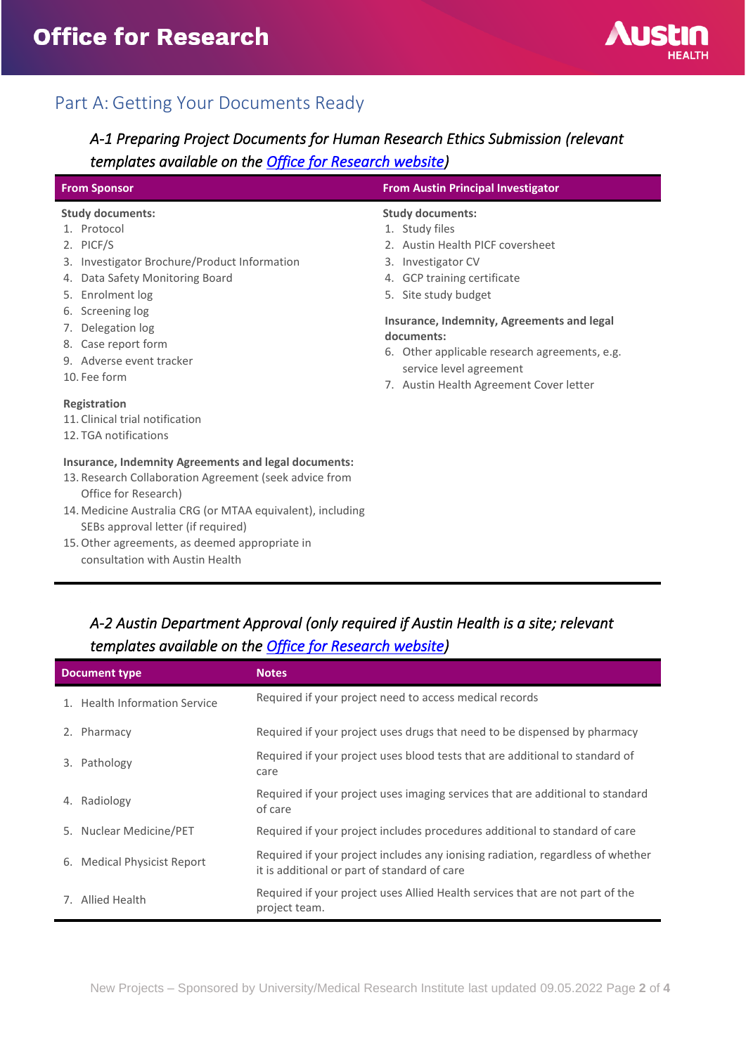

## <span id="page-1-0"></span>Part A: Getting Your Documents Ready

## <span id="page-1-1"></span>*A-1 Preparing Project Documents for Human Research Ethics Submission (relevant templates available on the [Office for Research website\)](https://www.austin.org.au/resources-for-researchers/)*

| <b>From Sponsor</b>                                                                                                                                                                                                                                                                                                             | <b>From Austin Principal Investigator</b>                                                                                                                                                                                                                                                                                                     |  |
|---------------------------------------------------------------------------------------------------------------------------------------------------------------------------------------------------------------------------------------------------------------------------------------------------------------------------------|-----------------------------------------------------------------------------------------------------------------------------------------------------------------------------------------------------------------------------------------------------------------------------------------------------------------------------------------------|--|
| <b>Study documents:</b><br>1. Protocol<br>2. PICF/S<br>3. Investigator Brochure/Product Information<br>4. Data Safety Monitoring Board<br>5. Enrolment log<br>6. Screening log<br>7. Delegation log<br>8. Case report form<br>9. Adverse event tracker<br>10. Fee form                                                          | <b>Study documents:</b><br>1. Study files<br>2. Austin Health PICF coversheet<br>3. Investigator CV<br>4. GCP training certificate<br>5. Site study budget<br>Insurance, Indemnity, Agreements and legal<br>documents:<br>6. Other applicable research agreements, e.g.<br>service level agreement<br>7. Austin Health Agreement Cover letter |  |
| Registration<br>11. Clinical trial notification<br>12. TGA notifications                                                                                                                                                                                                                                                        |                                                                                                                                                                                                                                                                                                                                               |  |
| Insurance, Indemnity Agreements and legal documents:<br>13. Research Collaboration Agreement (seek advice from<br>Office for Research)<br>14. Medicine Australia CRG (or MTAA equivalent), including<br>SEBs approval letter (if required)<br>15. Other agreements, as deemed appropriate in<br>consultation with Austin Health |                                                                                                                                                                                                                                                                                                                                               |  |

## <span id="page-1-2"></span>*A-2 Austin Department Approval (only required if Austin Health is a site; relevant templates available on the [Office for Research website\)](https://www.austin.org.au/resources-for-researchers/)*

| <b>Document type</b> |                               | <b>Notes</b>                                                                                                                    |  |
|----------------------|-------------------------------|---------------------------------------------------------------------------------------------------------------------------------|--|
|                      | 1. Health Information Service | Required if your project need to access medical records                                                                         |  |
|                      | 2. Pharmacy                   | Required if your project uses drugs that need to be dispensed by pharmacy                                                       |  |
| 3.                   | Pathology                     | Required if your project uses blood tests that are additional to standard of<br>care                                            |  |
| 4.                   | Radiology                     | Required if your project uses imaging services that are additional to standard<br>of care                                       |  |
|                      | 5. Nuclear Medicine/PET       | Required if your project includes procedures additional to standard of care                                                     |  |
|                      | 6. Medical Physicist Report   | Required if your project includes any ionising radiation, regardless of whether<br>it is additional or part of standard of care |  |
|                      | 7. Allied Health              | Required if your project uses Allied Health services that are not part of the<br>project team.                                  |  |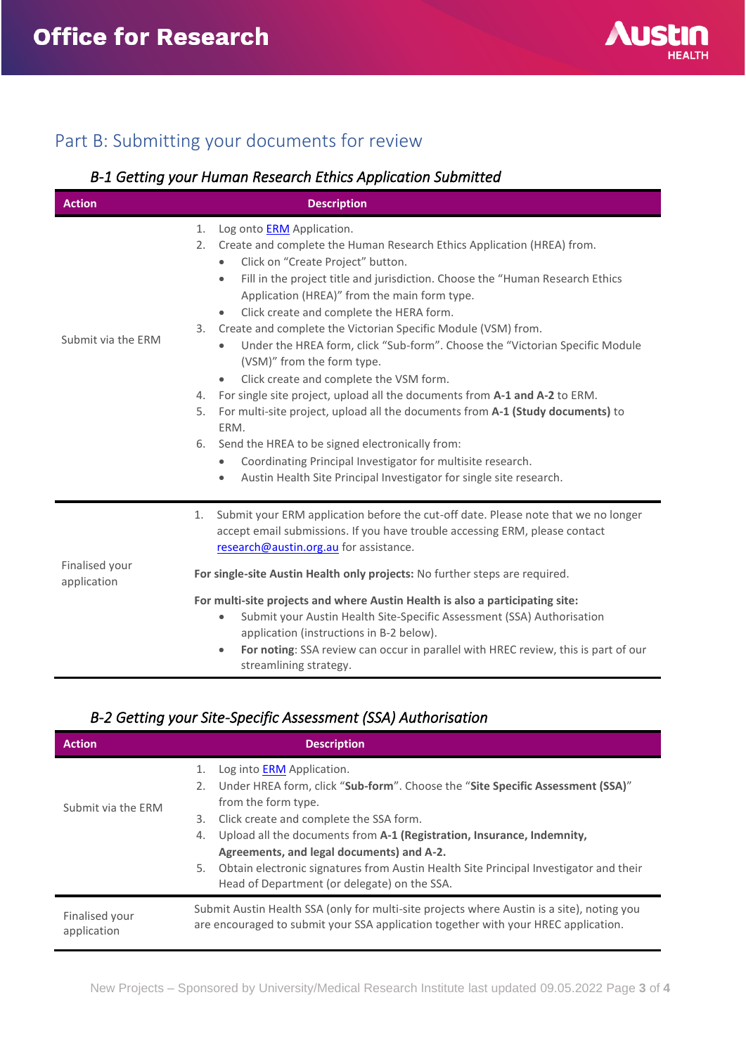

# <span id="page-2-0"></span>Part B: Submitting your documents for review

## <span id="page-2-1"></span>*B-1 Getting your Human Research Ethics Application Submitted*

| <b>Action</b>                 | <b>Description</b>                                                                                                                                                                                                |  |
|-------------------------------|-------------------------------------------------------------------------------------------------------------------------------------------------------------------------------------------------------------------|--|
|                               | Log onto <b>ERM</b> Application.<br>1.<br>Create and complete the Human Research Ethics Application (HREA) from.<br>2.                                                                                            |  |
|                               | Click on "Create Project" button.<br>$\bullet$<br>Fill in the project title and jurisdiction. Choose the "Human Research Ethics<br>$\bullet$<br>Application (HREA)" from the main form type.                      |  |
|                               | Click create and complete the HERA form.<br>$\bullet$                                                                                                                                                             |  |
| Submit via the ERM            | Create and complete the Victorian Specific Module (VSM) from.<br>3.                                                                                                                                               |  |
|                               | Under the HREA form, click "Sub-form". Choose the "Victorian Specific Module<br>$\bullet$<br>(VSM)" from the form type.                                                                                           |  |
|                               | Click create and complete the VSM form.<br>$\bullet$                                                                                                                                                              |  |
|                               | For single site project, upload all the documents from A-1 and A-2 to ERM.<br>4.                                                                                                                                  |  |
|                               | For multi-site project, upload all the documents from A-1 (Study documents) to<br>5.<br>ERM.                                                                                                                      |  |
|                               | Send the HREA to be signed electronically from:<br>6.                                                                                                                                                             |  |
|                               | Coordinating Principal Investigator for multisite research.                                                                                                                                                       |  |
|                               | Austin Health Site Principal Investigator for single site research.                                                                                                                                               |  |
|                               | Submit your ERM application before the cut-off date. Please note that we no longer<br>1.<br>accept email submissions. If you have trouble accessing ERM, please contact<br>research@austin.org.au for assistance. |  |
| Finalised your<br>application | For single-site Austin Health only projects: No further steps are required.                                                                                                                                       |  |
|                               | For multi-site projects and where Austin Health is also a participating site:                                                                                                                                     |  |
|                               | Submit your Austin Health Site-Specific Assessment (SSA) Authorisation<br>$\bullet$                                                                                                                               |  |
|                               | application (instructions in B-2 below).                                                                                                                                                                          |  |
|                               | For noting: SSA review can occur in parallel with HREC review, this is part of our<br>$\bullet$<br>streamlining strategy.                                                                                         |  |

### <span id="page-2-2"></span>*B-2 Getting your Site-Specific Assessment (SSA) Authorisation*

| <b>Action</b>                 | <b>Description</b>                                                                                                                                                                                                                                                       |  |
|-------------------------------|--------------------------------------------------------------------------------------------------------------------------------------------------------------------------------------------------------------------------------------------------------------------------|--|
| Submit via the ERM            | Log into <b>ERM</b> Application.<br>Under HREA form, click "Sub-form". Choose the "Site Specific Assessment (SSA)"<br>2.<br>from the form type.<br>Click create and complete the SSA form.<br>3.                                                                         |  |
|                               | Upload all the documents from A-1 (Registration, Insurance, Indemnity,<br>4.<br>Agreements, and legal documents) and A-2.<br>Obtain electronic signatures from Austin Health Site Principal Investigator and their<br>5.<br>Head of Department (or delegate) on the SSA. |  |
| Finalised your<br>application | Submit Austin Health SSA (only for multi-site projects where Austin is a site), noting you<br>are encouraged to submit your SSA application together with your HREC application.                                                                                         |  |